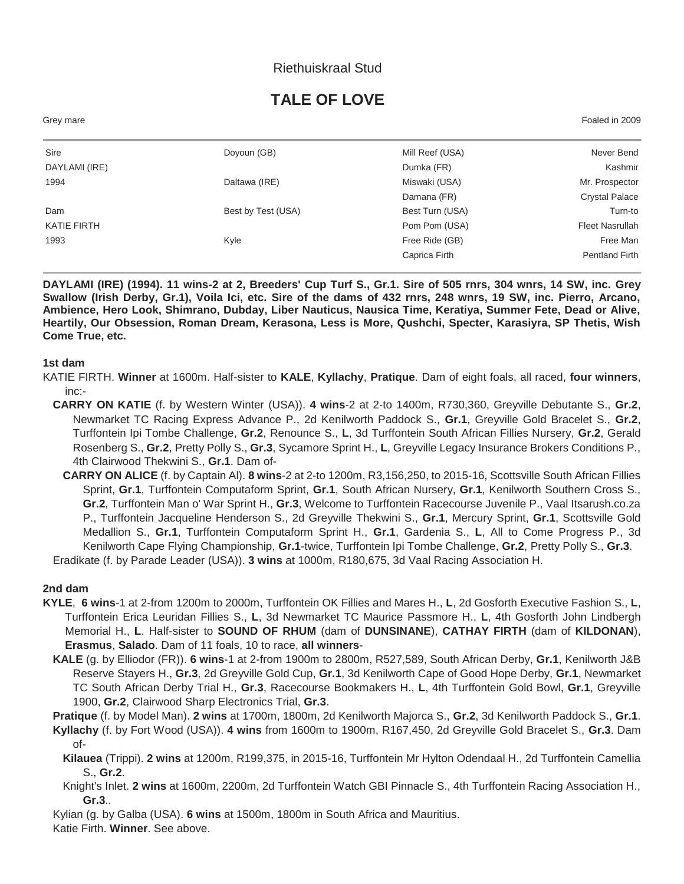### Riethuiskraal Stud

# **TALE OF LOVE**

Grey mare Foaled in 2009

| Sire          | Doyoun (GB)        | Mill Reef (USA) | Never Bend             |
|---------------|--------------------|-----------------|------------------------|
| DAYLAMI (IRE) |                    | Dumka (FR)      | Kashmir                |
| 1994          | Daltawa (IRE)      | Miswaki (USA)   | Mr. Prospector         |
|               |                    | Damana (FR)     | <b>Crystal Palace</b>  |
| Dam           | Best by Test (USA) | Best Turn (USA) | Turn-to                |
| KATIE FIRTH   |                    | Pom Pom (USA)   | <b>Fleet Nasrullah</b> |
| 1993          | Kyle               | Free Ride (GB)  | Free Man               |
|               |                    | Caprica Firth   | <b>Pentland Firth</b>  |
|               |                    |                 |                        |

**DAYLAMI (IRE) (1994). 11 wins-2 at 2, Breeders' Cup Turf S., Gr.1. Sire of 505 rnrs, 304 wnrs, 14 SW, inc. Grey Swallow (Irish Derby, Gr.1), Voila Ici, etc. Sire of the dams of 432 rnrs, 248 wnrs, 19 SW, inc. Pierro, Arcano, Ambience, Hero Look, Shimrano, Dubday, Liber Nauticus, Nausica Time, Keratiya, Summer Fete, Dead or Alive, Heartily, Our Obsession, Roman Dream, Kerasona, Less is More, Qushchi, Specter, Karasiyra, SP Thetis, Wish Come True, etc.**

#### **1st dam**

- KATIE FIRTH. **Winner** at 1600m. Half-sister to **KALE**, **Kyllachy**, **Pratique**. Dam of eight foals, all raced, **four winners**, inc:-
	- **CARRY ON KATIE** (f. by Western Winter (USA)). **4 wins**-2 at 2-to 1400m, R730,360, Greyville Debutante S., **Gr.2**, Newmarket TC Racing Express Advance P., 2d Kenilworth Paddock S., **Gr.1**, Greyville Gold Bracelet S., **Gr.2**, Turffontein Ipi Tombe Challenge, **Gr.2**, Renounce S., **L**, 3d Turffontein South African Fillies Nursery, **Gr.2**, Gerald Rosenberg S., **Gr.2**, Pretty Polly S., **Gr.3**, Sycamore Sprint H., **L**, Greyville Legacy Insurance Brokers Conditions P., 4th Clairwood Thekwini S., **Gr.1**. Dam of-
	- **CARRY ON ALICE** (f. by Captain Al). **8 wins**-2 at 2-to 1200m, R3,156,250, to 2015-16, Scottsville South African Fillies Sprint, **Gr.1**, Turffontein Computaform Sprint, **Gr.1**, South African Nursery, **Gr.1**, Kenilworth Southern Cross S., **Gr.2**, Turffontein Man o' War Sprint H., **Gr.3**, Welcome to Turffontein Racecourse Juvenile P., Vaal Itsarush.co.za P., Turffontein Jacqueline Henderson S., 2d Greyville Thekwini S., **Gr.1**, Mercury Sprint, **Gr.1**, Scottsville Gold Medallion S., **Gr.1**, Turffontein Computaform Sprint H., **Gr.1**, Gardenia S., **L**, All to Come Progress P., 3d Kenilworth Cape Flying Championship, **Gr.1**-twice, Turffontein Ipi Tombe Challenge, **Gr.2**, Pretty Polly S., **Gr.3**. Eradikate (f. by Parade Leader (USA)). **3 wins** at 1000m, R180,675, 3d Vaal Racing Association H.

#### **2nd dam**

- **KYLE**, **6 wins**-1 at 2-from 1200m to 2000m, Turffontein OK Fillies and Mares H., **L**, 2d Gosforth Executive Fashion S., **L**, Turffontein Erica Leuridan Fillies S., **L**, 3d Newmarket TC Maurice Passmore H., **L**, 4th Gosforth John Lindbergh Memorial H., **L**. Half-sister to **SOUND OF RHUM** (dam of **DUNSINANE**), **CATHAY FIRTH** (dam of **KILDONAN**), **Erasmus**, **Salado**. Dam of 11 foals, 10 to race, **all winners**-
	- **KALE** (g. by Elliodor (FR)). **6 wins**-1 at 2-from 1900m to 2800m, R527,589, South African Derby, **Gr.1**, Kenilworth J&B Reserve Stayers H., **Gr.3**, 2d Greyville Gold Cup, **Gr.1**, 3d Kenilworth Cape of Good Hope Derby, **Gr.1**, Newmarket TC South African Derby Trial H., **Gr.3**, Racecourse Bookmakers H., **L**, 4th Turffontein Gold Bowl, **Gr.1**, Greyville 1900, **Gr.2**, Clairwood Sharp Electronics Trial, **Gr.3**.

**Pratique** (f. by Model Man). **2 wins** at 1700m, 1800m, 2d Kenilworth Majorca S., **Gr.2**, 3d Kenilworth Paddock S., **Gr.1**.

- **Kyllachy** (f. by Fort Wood (USA)). **4 wins** from 1600m to 1900m, R167,450, 2d Greyville Gold Bracelet S., **Gr.3**. Dam of-
	- **Kilauea** (Trippi). **2 wins** at 1200m, R199,375, in 2015-16, Turffontein Mr Hylton Odendaal H., 2d Turffontein Camellia S., **Gr.2**.
	- Knight's Inlet. **2 wins** at 1600m, 2200m, 2d Turffontein Watch GBI Pinnacle S., 4th Turffontein Racing Association H., **Gr.3**..

Kylian (g. by Galba (USA). **6 wins** at 1500m, 1800m in South Africa and Mauritius.

Katie Firth. **Winner**. See above.